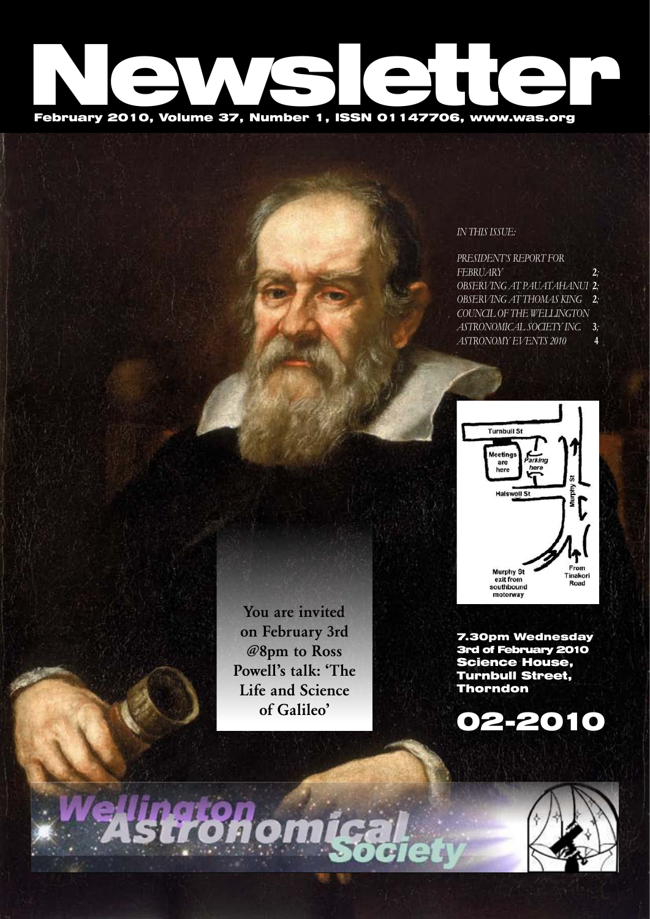# February 2010, Volume 37, Number 1, ISSN 01147706, www.was.org

## *In this issue:*

| PRESIDENT'S REPORT FOR             |    |
|------------------------------------|----|
| FEBRUARY                           | 2: |
| <b>OBSERVING AT PAUATAHANUI 2;</b> |    |
| OBSERVING AT THOMAS KING           | 2: |
| COUNCIL OF THE WELLINGTON          |    |
| ASTRONOMICAL SOCIETY INC.          | 3: |
| <b>ASTRONOMY EVENTS 2010</b>       | 4  |



You are invited on February 3rd @8pm to Ross Powell's talk: 'The Life and Science of Galileo'

7.30pm Wednesday 3rd of February 2010 Science House, Turnbull Street, Thorndon



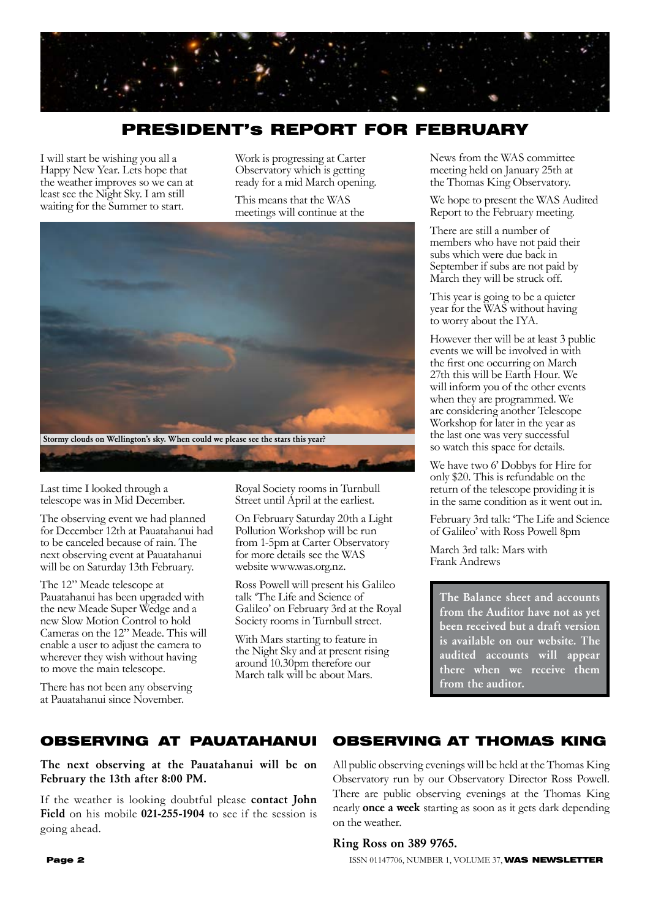

# PRESIDENT's REPORT FOR FEBRUARY

I will start be wishing you all a Happy New Year. Lets hope that the weather improves so we can at least see the Night Sky. I am still waiting for the Summer to start.

Work is progressing at Carter Observatory which is getting ready for a mid March opening.

This means that the WAS meetings will continue at the



Last time I looked through a telescope was in Mid December.

The observing event we had planned for December 12th at Pauatahanui had to be canceled because of rain. The next observing event at Pauatahanui will be on Saturday 13th February.

The 12" Meade telescope at Pauatahanui has been upgraded with the new Meade Super Wedge and a new Slow Motion Control to hold Cameras on the 12" Meade. This will enable a user to adjust the camera to wherever they wish without having to move the main telescope.

There has not been any observing at Pauatahanui since November.

Royal Society rooms in Turnbull Street until April at the earliest.

On February Saturday 20th a Light Pollution Workshop will be run from 1-5pm at Carter Observatory for more details see the WAS website www.was.org.nz.

Ross Powell will present his Galileo talk 'The Life and Science of Galileo' on February 3rd at the Royal Society rooms in Turnbull street.

With Mars starting to feature in the Night Sky and at present rising around 10.30pm therefore our March talk will be about Mars.

News from the WAS committee meeting held on January 25th at the Thomas King Observatory.

We hope to present the WAS Audited Report to the February meeting.

There are still a number of members who have not paid their subs which were due back in September if subs are not paid by March they will be struck off.

This year is going to be a quieter year for the WAS without having to worry about the IYA.

However ther will be at least 3 public events we will be involved in with the first one occurring on March 27th this will be Earth Hour. We will inform you of the other events when they are programmed. We are considering another Telescope Workshop for later in the year as the last one was very successful so watch this space for details.

We have two 6' Dobbys for Hire for only \$20. This is refundable on the return of the telescope providing it is in the same condition as it went out in.

February 3rd talk: 'The Life and Science of Galileo' with Ross Powell 8pm

March 3rd talk: Mars with Frank Andrews

The Balance sheet and accounts from the Auditor have not as yet been received but a draft version is available on our website. The audited accounts will appear there when we receive them from the auditor.

#### OBSERVING AT PAUATAHANUI OBSERVING AT THOMAS KING

The next observing at the Pauatahanui will be on February the 13th after 8:00 PM.

If the weather is looking doubtful please contact John Field on his mobile 021-255-1904 to see if the session is going ahead.

All public observing evenings will be held at the Thomas King Observatory run by our Observatory Director Ross Powell. There are public observing evenings at the Thomas King nearly once a week starting as soon as it gets dark depending on the weather.

## Ring Ross on 389 9765.

**Page 2 ISSN 01147706, NUMBER 1, VOLUME 37, WAS NEWSLETTER**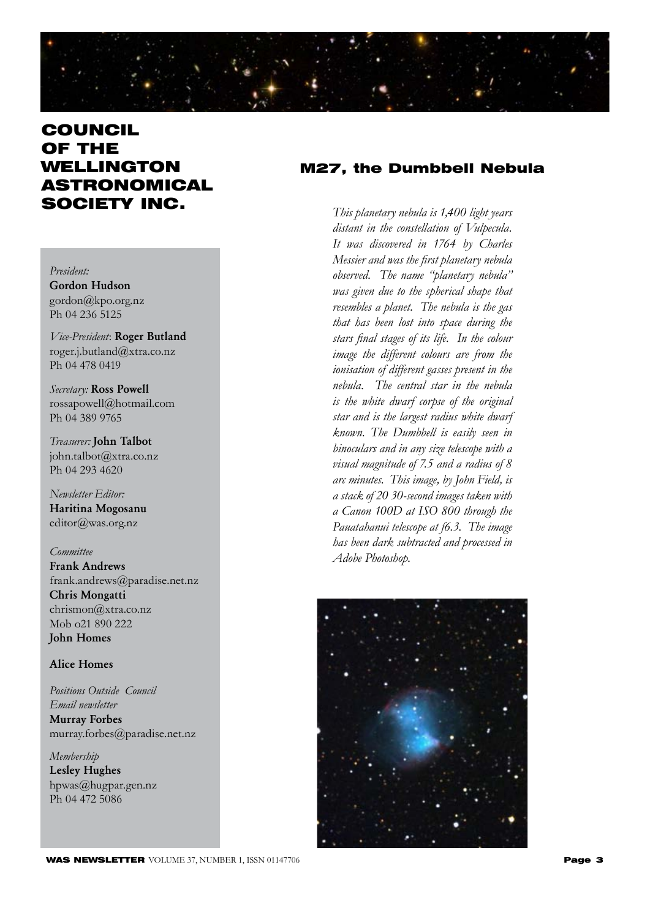

# **COUNCIL** OF THE WELLINGTON ASTRONOMICAL SOCIETY INC.

## *President:*

Gordon Hudson gordon@kpo.org.nz Ph 04 236 5125

*Vice-President*: Roger Butland roger.j.butland@xtra.co.nz Ph 04 478 0419

*Secretary:* Ross Powell rossapowell@hotmail.com Ph 04 389 9765

*Treasurer:* John Talbot john.talbot@xtra.co.nz Ph 04 293 4620

*Newsletter Editor:*  Haritina Mogosanu editor@was.org.nz

### *Committee*

Frank Andrews frank.andrews@paradise.net.nz Chris Mongatti chrismon@xtra.co.nz Mob o21 890 222 John Homes

## Alice Homes

*Positions Outside Council Email newsletter* Murray Forbes murray.forbes@paradise.net.nz

*Membership*  Lesley Hughes hpwas@hugpar.gen.nz Ph 04 472 5086

## M27, the Dumbbell Nebula

*This planetary nebula is 1,400 light years distant in the constellation of Vulpecula. It was discovered in 1764 by Charles Messier and was the first planetary nebula observed. The name "planetary nebula" was given due to the spherical shape that resembles a planet. The nebula is the gas that has been lost into space during the stars final stages of its life. In the colour image the different colours are from the ionisation of different gasses present in the nebula. The central star in the nebula is the white dwarf corpse of the original star and is the largest radius white dwarf known. The Dumbbell is easily seen in binoculars and in any size telescope with a visual magnitude of 7.5 and a radius of 8 arc minutes. This image, by John Field, is a stack of 20 30-second images taken with a Canon 100D at ISO 800 through the Pauatahanui telescope at f6.3. The image has been dark subtracted and processed in Adobe Photoshop.*

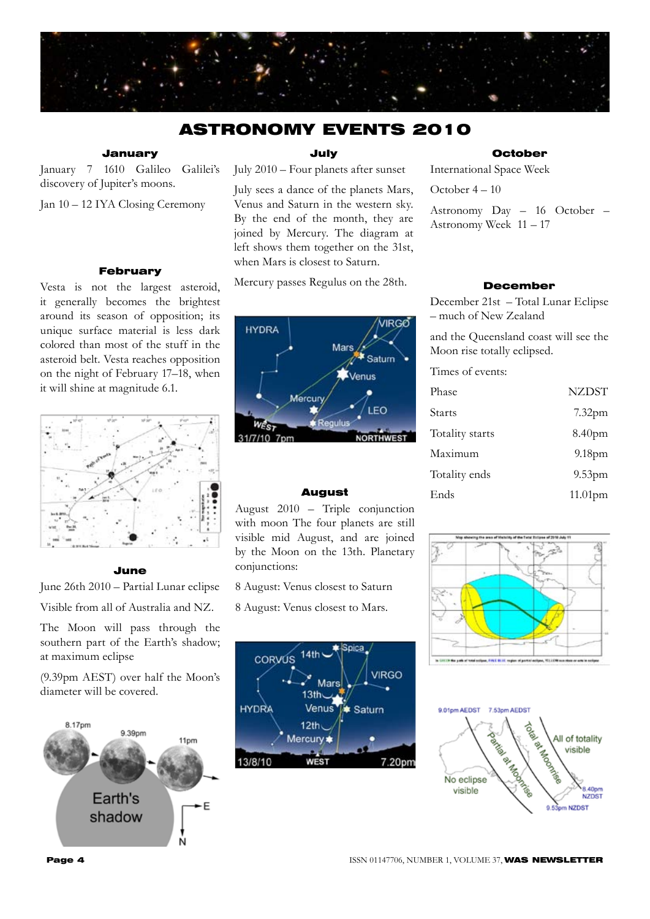

## ASTRONOMY EVENTS 2010

## January

January 7 1610 Galileo Galilei's discovery of Jupiter's moons.

Jan 10 – 12 IYA Closing Ceremony

## February

Vesta is not the largest asteroid, it generally becomes the brightest around its season of opposition; its unique surface material is less dark colored than most of the stuff in the asteroid belt. Vesta reaches opposition on the night of February 17–18, when it will shine at magnitude 6.1.



#### June

June 26th 2010 – Partial Lunar eclipse Visible from all of Australia and NZ.

The Moon will pass through the southern part of the Earth's shadow; at maximum eclipse

(9.39pm AEST) over half the Moon's diameter will be covered.



July

July 2010 – Four planets after sunset

July sees a dance of the planets Mars, Venus and Saturn in the western sky. By the end of the month, they are joined by Mercury. The diagram at left shows them together on the 31st, when Mars is closest to Saturn.

Mercury passes Regulus on the 28th.



#### August

August 2010 – Triple conjunction with moon The four planets are still visible mid August, and are joined by the Moon on the 13th. Planetary conjunctions:

8 August: Venus closest to Saturn

8 August: Venus closest to Mars.



## **October**

International Space Week

October 4 – 10

Astronomy Day – 16 October – Astronomy Week 11 – 17

## December

December 21st – Total Lunar Eclipse – much of New Zealand

and the Queensland coast will see the Moon rise totally eclipsed.

Times of events:

| Phase           | <b>NZDST</b>       |
|-----------------|--------------------|
| <b>Starts</b>   | 7.32 <sub>pm</sub> |
| Totality starts | 8.40pm             |
| Maximum         | 9.18pm             |
| Totality ends   | 9.53 <sub>pm</sub> |
| Ends            | $11.01$ pm         |



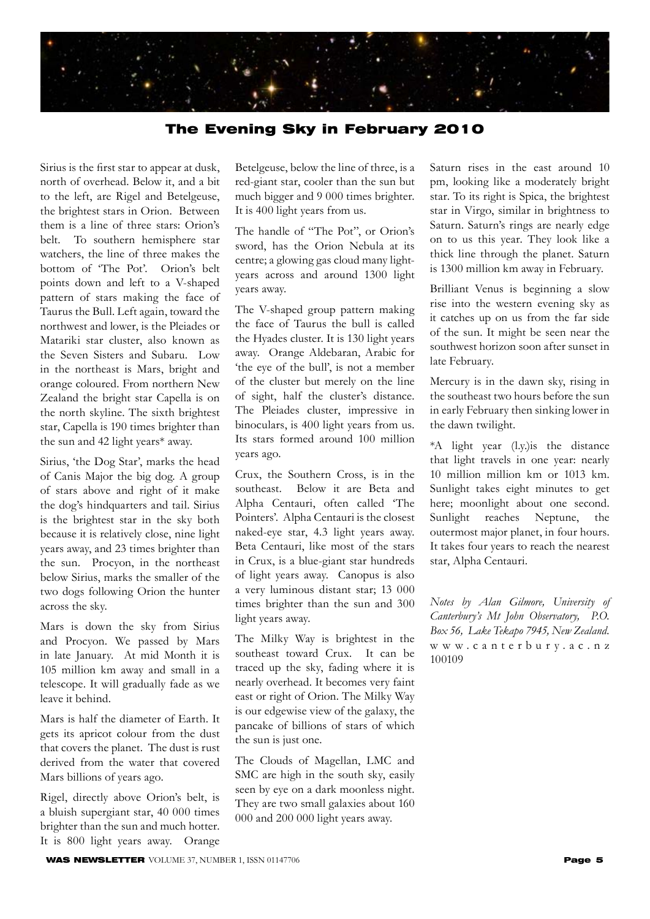

## The Evening Sky in February 2010

Sirius is the first star to appear at dusk, north of overhead. Below it, and a bit to the left, are Rigel and Betelgeuse, the brightest stars in Orion. Between them is a line of three stars: Orion's belt. To southern hemisphere star watchers, the line of three makes the bottom of 'The Pot'. Orion's belt points down and left to a V-shaped pattern of stars making the face of Taurus the Bull. Left again, toward the northwest and lower, is the Pleiades or Matariki star cluster, also known as the Seven Sisters and Subaru. Low in the northeast is Mars, bright and orange coloured. From northern New Zealand the bright star Capella is on the north skyline. The sixth brightest star, Capella is 190 times brighter than the sun and 42 light years\* away.

Sirius, 'the Dog Star', marks the head of Canis Major the big dog. A group of stars above and right of it make the dog's hindquarters and tail. Sirius is the brightest star in the sky both because it is relatively close, nine light years away, and 23 times brighter than the sun. Procyon, in the northeast below Sirius, marks the smaller of the two dogs following Orion the hunter across the sky.

Mars is down the sky from Sirius and Procyon. We passed by Mars in late January. At mid Month it is 105 million km away and small in a telescope. It will gradually fade as we leave it behind.

Mars is half the diameter of Earth. It gets its apricot colour from the dust that covers the planet. The dust is rust derived from the water that covered Mars billions of years ago.

Rigel, directly above Orion's belt, is a bluish supergiant star, 40 000 times brighter than the sun and much hotter. It is 800 light years away. Orange

Betelgeuse, below the line of three, is a red-giant star, cooler than the sun but much bigger and 9 000 times brighter. It is 400 light years from us.

The handle of "The Pot", or Orion's sword, has the Orion Nebula at its centre; a glowing gas cloud many lightyears across and around 1300 light years away.

The V-shaped group pattern making the face of Taurus the bull is called the Hyades cluster. It is 130 light years away. Orange Aldebaran, Arabic for 'the eye of the bull', is not a member of the cluster but merely on the line of sight, half the cluster's distance. The Pleiades cluster, impressive in binoculars, is 400 light years from us. Its stars formed around 100 million years ago.

Crux, the Southern Cross, is in the southeast. Below it are Beta and Alpha Centauri, often called 'The Pointers'. Alpha Centauri is the closest naked-eye star, 4.3 light years away. Beta Centauri, like most of the stars in Crux, is a blue-giant star hundreds of light years away. Canopus is also a very luminous distant star; 13 000 times brighter than the sun and 300 light years away.

The Milky Way is brightest in the southeast toward Crux. It can be traced up the sky, fading where it is nearly overhead. It becomes very faint east or right of Orion. The Milky Way is our edgewise view of the galaxy, the pancake of billions of stars of which the sun is just one.

The Clouds of Magellan, LMC and SMC are high in the south sky, easily seen by eye on a dark moonless night. They are two small galaxies about 160 000 and 200 000 light years away.

Saturn rises in the east around 10 pm, looking like a moderately bright star. To its right is Spica, the brightest star in Virgo, similar in brightness to Saturn. Saturn's rings are nearly edge on to us this year. They look like a thick line through the planet. Saturn is 1300 million km away in February.

Brilliant Venus is beginning a slow rise into the western evening sky as it catches up on us from the far side of the sun. It might be seen near the southwest horizon soon after sunset in late February.

Mercury is in the dawn sky, rising in the southeast two hours before the sun in early February then sinking lower in the dawn twilight.

\*A light year (l.y.)is the distance that light travels in one year: nearly 10 million million km or 1013 km. Sunlight takes eight minutes to get here; moonlight about one second. Sunlight reaches Neptune, the outermost major planet, in four hours. It takes four years to reach the nearest star, Alpha Centauri.

*Notes by Alan Gilmore, University of Canterbury's Mt John Observatory, P.O. Box 56, Lake Tekapo 7945, New Zealand.* w w w . c a n t e r b u r y . a c . n z 100109